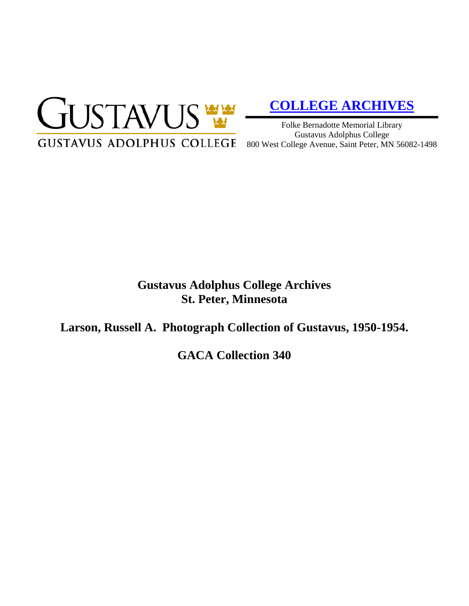

# **[COLLEGE ARCHIVES](http://gustavus.edu/academics/library/archives/)**

Folke Bernadotte Memorial Library Gustavus Adolphus College 800 West College Avenue, Saint Peter, MN 56082-1498

# **Gustavus Adolphus College Archives St. Peter, Minnesota**

**Larson, Russell A. Photograph Collection of Gustavus, 1950-1954.**

**GACA Collection 340**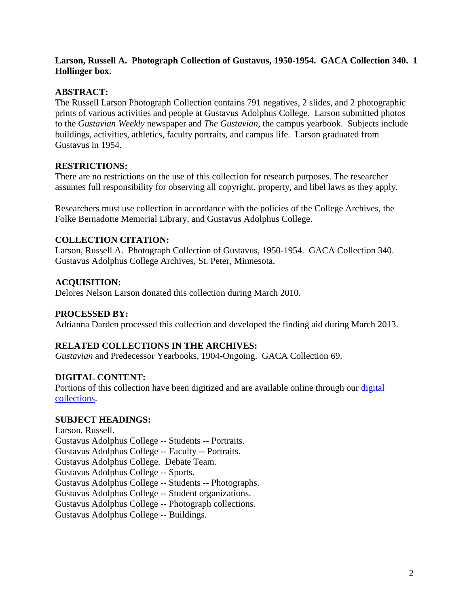# **Larson, Russell A. Photograph Collection of Gustavus, 1950-1954. GACA Collection 340. 1 Hollinger box.**

# **ABSTRACT:**

The Russell Larson Photograph Collection contains 791 negatives, 2 slides, and 2 photographic prints of various activities and people at Gustavus Adolphus College. Larson submitted photos to the *Gustavian Weekly* newspaper and *The Gustavian*, the campus yearbook. Subjects include buildings, activities, athletics, faculty portraits, and campus life. Larson graduated from Gustavus in 1954.

#### **RESTRICTIONS:**

There are no restrictions on the use of this collection for research purposes. The researcher assumes full responsibility for observing all copyright, property, and libel laws as they apply.

Researchers must use collection in accordance with the policies of the College Archives, the Folke Bernadotte Memorial Library, and Gustavus Adolphus College.

# **COLLECTION CITATION:**

Larson, Russell A. Photograph Collection of Gustavus, 1950-1954. GACA Collection 340. Gustavus Adolphus College Archives, St. Peter, Minnesota.

#### **ACQUISITION:**

Delores Nelson Larson donated this collection during March 2010.

#### **PROCESSED BY:**

Adrianna Darden processed this collection and developed the finding aid during March 2013.

#### **RELATED COLLECTIONS IN THE ARCHIVES:**

*Gustavian* and Predecessor Yearbooks, 1904-Ongoing. GACA Collection 69.

# **DIGITAL CONTENT:**

Portions of this collection have been digitized and are available online through our [digital](https://archives.gac.edu/digital/)  [collections.](https://archives.gac.edu/digital/)

#### **SUBJECT HEADINGS:**

Larson, Russell. Gustavus Adolphus College -- Students -- Portraits. Gustavus Adolphus College -- Faculty -- Portraits. Gustavus Adolphus College. Debate Team. Gustavus Adolphus College -- Sports. Gustavus Adolphus College -- Students -- Photographs. Gustavus Adolphus College -- Student organizations. Gustavus Adolphus College -- Photograph collections. Gustavus Adolphus College -- Buildings.